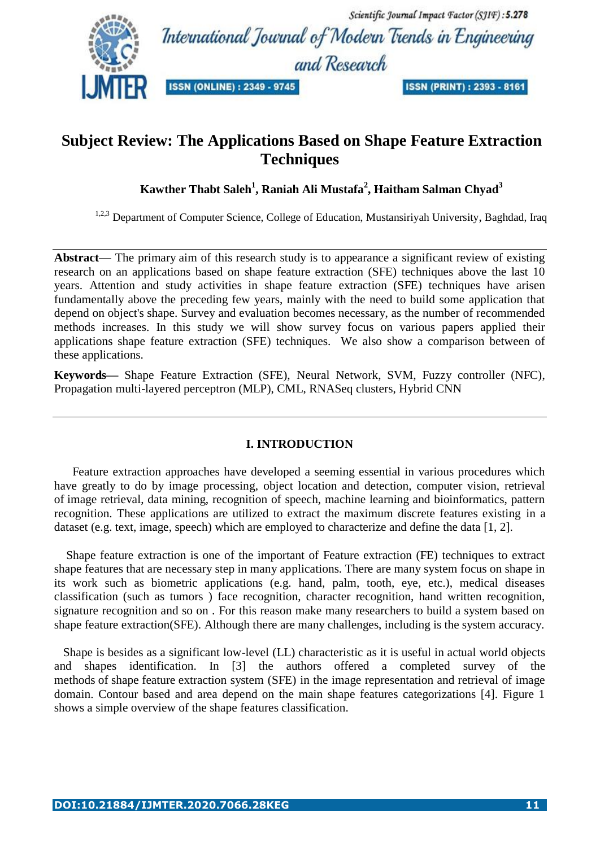

# **Subject Review: The Applications Based on Shape Feature Extraction Techniques**

# **Kawther Thabt Saleh<sup>1</sup> , Raniah Ali Mustafa<sup>2</sup> , Haitham Salman Chyad<sup>3</sup>**

<sup>1,2,3</sup> Department of Computer Science, College of Education, Mustansiriyah University, Baghdad, Iraq

**Abstract***—* The primary aim of this research study is to appearance a significant review of existing research on an applications based on shape feature extraction (SFE) techniques above the last 10 years. Attention and study activities in shape feature extraction (SFE) techniques have arisen fundamentally above the preceding few years, mainly with the need to build some application that depend on object's shape. Survey and evaluation becomes necessary, as the number of recommended methods increases. In this study we will show survey focus on various papers applied their applications shape feature extraction (SFE) techniques. We also show a comparison between of these applications.

**Keywords***—* Shape Feature Extraction (SFE), Neural Network, SVM, Fuzzy controller (NFC), Propagation multi-layered perceptron (MLP), CML, RNASeq clusters, Hybrid CNN

#### **I. INTRODUCTION**

 Feature extraction approaches have developed a seeming essential in various procedures which have greatly to do by image processing, object location and detection, computer vision, retrieval of image retrieval, data mining, recognition of speech, machine learning and bioinformatics, pattern recognition. These applications are utilized to extract the maximum discrete features existing in a dataset (e.g. text, image, speech) which are employed to characterize and define the data [1, 2].

 Shape feature extraction is one of the important of Feature extraction (FE) techniques to extract shape features that are necessary step in many applications. There are many system focus on shape in its work such as biometric applications (e.g. hand, palm, tooth, eye, etc.), medical diseases classification (such as tumors ) face recognition, character recognition, hand written recognition, signature recognition and so on . For this reason make many researchers to build a system based on shape feature extraction(SFE). Although there are many challenges, including is the system accuracy.

 Shape is besides as a significant low-level (LL) characteristic as it is useful in actual world objects and shapes identification. In [3] the authors offered a completed survey of the methods of shape feature extraction system (SFE) in the image representation and retrieval of image domain. Contour based and area depend on the main shape features categorizations [4]. Figure 1 shows a simple overview of the shape features classification.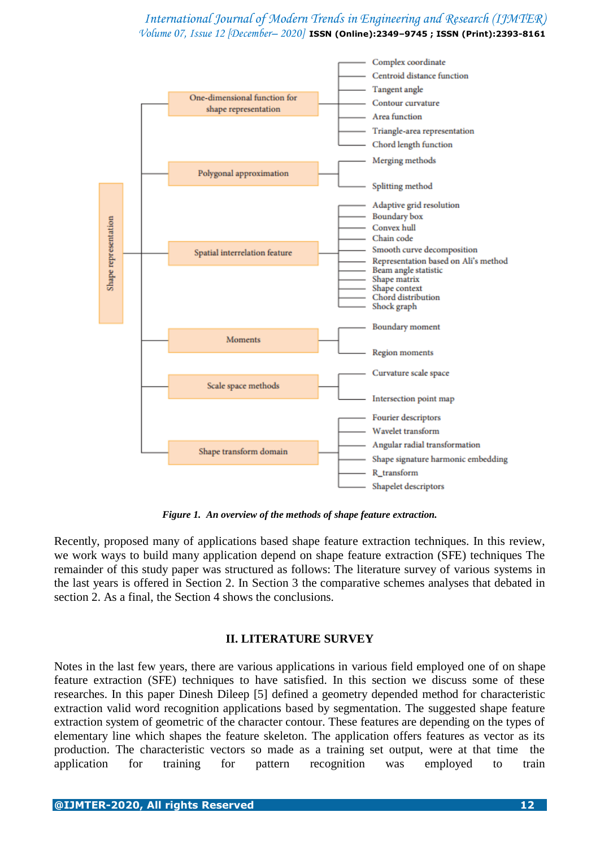

*Figure 1. An overview of the methods of shape feature extraction.*

Recently, proposed many of applications based shape feature extraction techniques. In this review, we work ways to build many application depend on shape feature extraction (SFE) techniques The remainder of this study paper was structured as follows: The literature survey of various systems in the last years is offered in Section 2. In Section 3 the comparative schemes analyses that debated in section 2. As a final, the Section 4 shows the conclusions.

#### **II. LITERATURE SURVEY**

Notes in the last few years, there are various applications in various field employed one of on shape feature extraction (SFE) techniques to have satisfied. In this section we discuss some of these researches. In this paper Dinesh Dileep [5] defined a geometry depended method for characteristic extraction valid word recognition applications based by segmentation. The suggested shape feature extraction system of geometric of the character contour. These features are depending on the types of elementary line which shapes the feature skeleton. The application offers features as vector as its production. The characteristic vectors so made as a training set output, were at that time the application for training for pattern recognition was employed to train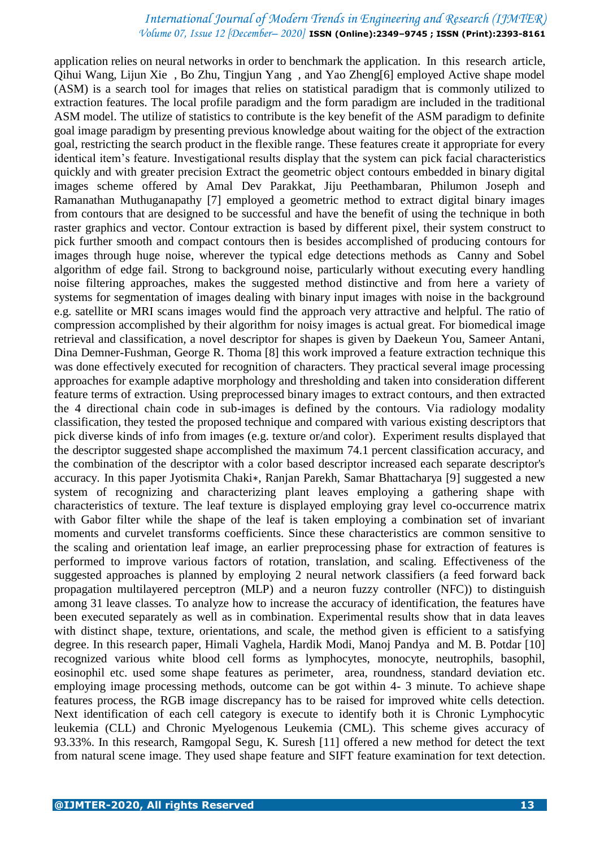application relies on neural networks in order to benchmark the application. In this research article, Qihui Wang, Lijun Xie , Bo Zhu, Tingjun Yang , and Yao Zheng[6] employed Active shape model (ASM) is a search tool for images that relies on statistical paradigm that is commonly utilized to extraction features. The local profile paradigm and the form paradigm are included in the traditional ASM model. The utilize of statistics to contribute is the key benefit of the ASM paradigm to definite goal image paradigm by presenting previous knowledge about waiting for the object of the extraction goal, restricting the search product in the flexible range. These features create it appropriate for every identical item's feature. Investigational results display that the system can pick facial characteristics quickly and with greater precision Extract the geometric object contours embedded in binary digital images scheme offered by Amal Dev Parakkat, Jiju Peethambaran, Philumon Joseph and Ramanathan Muthuganapathy [7] employed a geometric method to extract digital binary images from contours that are designed to be successful and have the benefit of using the technique in both raster graphics and vector. Contour extraction is based by different pixel, their system construct to pick further smooth and compact contours then is besides accomplished of producing contours for images through huge noise, wherever the typical edge detections methods as Canny and Sobel algorithm of edge fail. Strong to background noise, particularly without executing every handling noise filtering approaches, makes the suggested method distinctive and from here a variety of systems for segmentation of images dealing with binary input images with noise in the background e.g. satellite or MRI scans images would find the approach very attractive and helpful. The ratio of compression accomplished by their algorithm for noisy images is actual great. For biomedical image retrieval and classification, a novel descriptor for shapes is given by Daekeun You, Sameer Antani, Dina Demner-Fushman, George R. Thoma [8] this work improved a feature extraction technique this was done effectively executed for recognition of characters. They practical several image processing approaches for example adaptive morphology and thresholding and taken into consideration different feature terms of extraction. Using preprocessed binary images to extract contours, and then extracted the 4 directional chain code in sub-images is defined by the contours. Via radiology modality classification, they tested the proposed technique and compared with various existing descriptors that pick diverse kinds of info from images (e.g. texture or/and color). Experiment results displayed that the descriptor suggested shape accomplished the maximum 74.1 percent classification accuracy, and the combination of the descriptor with a color based descriptor increased each separate descriptor's accuracy. In this paper Jyotismita Chaki∗, Ranjan Parekh, Samar Bhattacharya [9] suggested a new system of recognizing and characterizing plant leaves employing a gathering shape with characteristics of texture. The leaf texture is displayed employing gray level co-occurrence matrix with Gabor filter while the shape of the leaf is taken employing a combination set of invariant moments and curvelet transforms coefficients. Since these characteristics are common sensitive to the scaling and orientation leaf image, an earlier preprocessing phase for extraction of features is performed to improve various factors of rotation, translation, and scaling. Effectiveness of the suggested approaches is planned by employing 2 neural network classifiers (a feed forward back propagation multilayered perceptron (MLP) and a neuron fuzzy controller (NFC)) to distinguish among 31 leave classes. To analyze how to increase the accuracy of identification, the features have been executed separately as well as in combination. Experimental results show that in data leaves with distinct shape, texture, orientations, and scale, the method given is efficient to a satisfying degree. In this research paper, Himali Vaghela, Hardik Modi, Manoj Pandya and M. B. Potdar [10] recognized various white blood cell forms as lymphocytes, monocyte, neutrophils, basophil, eosinophil etc. used some shape features as perimeter, area, roundness, standard deviation etc. employing image processing methods, outcome can be got within 4- 3 minute. To achieve shape features process, the RGB image discrepancy has to be raised for improved white cells detection. Next identification of each cell category is execute to identify both it is Chronic Lymphocytic leukemia (CLL) and Chronic Myelogenous Leukemia (CML). This scheme gives accuracy of 93.33%. In this research, Ramgopal Segu, K. Suresh [11] offered a new method for detect the text from natural scene image. They used shape feature and SIFT feature examination for text detection.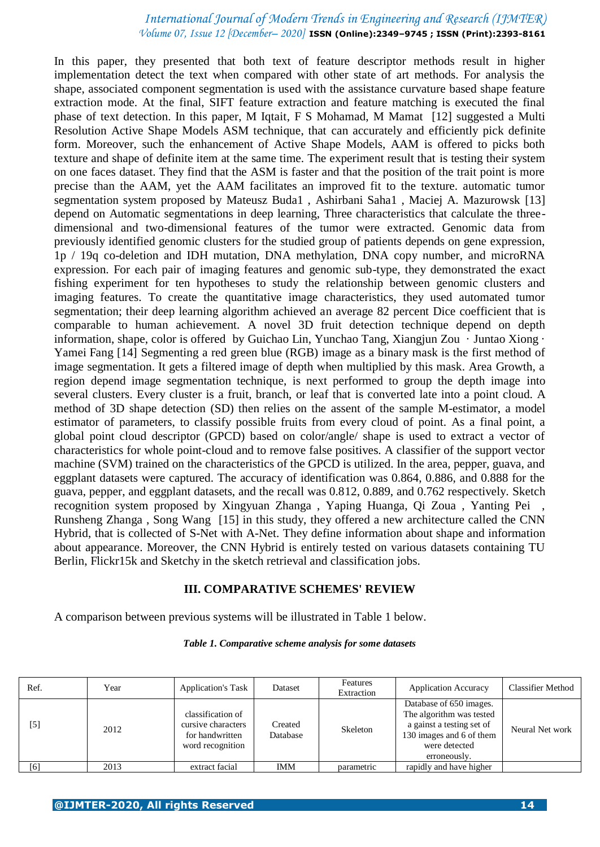In this paper, they presented that both text of feature descriptor methods result in higher implementation detect the text when compared with other state of art methods. For analysis the shape, associated component segmentation is used with the assistance curvature based shape feature extraction mode. At the final, SIFT feature extraction and feature matching is executed the final phase of text detection. In this paper, M Iqtait, F S Mohamad, M Mamat [12] suggested a Multi Resolution Active Shape Models ASM technique, that can accurately and efficiently pick definite form. Moreover, such the enhancement of Active Shape Models, AAM is offered to picks both texture and shape of definite item at the same time. The experiment result that is testing their system on one faces dataset. They find that the ASM is faster and that the position of the trait point is more precise than the AAM, yet the AAM facilitates an improved fit to the texture. automatic tumor segmentation system proposed by Mateusz Buda1 , Ashirbani Saha1 , Maciej A. Mazurowsk [13] depend on Automatic segmentations in deep learning, Three characteristics that calculate the threedimensional and two-dimensional features of the tumor were extracted. Genomic data from previously identified genomic clusters for the studied group of patients depends on gene expression, 1p / 19q co-deletion and IDH mutation, DNA methylation, DNA copy number, and microRNA expression. For each pair of imaging features and genomic sub-type, they demonstrated the exact fishing experiment for ten hypotheses to study the relationship between genomic clusters and imaging features. To create the quantitative image characteristics, they used automated tumor segmentation; their deep learning algorithm achieved an average 82 percent Dice coefficient that is comparable to human achievement. A novel 3D fruit detection technique depend on depth information, shape, color is offered by Guichao Lin, Yunchao Tang, Xiangjun Zou · Juntao Xiong · Yamei Fang [14] Segmenting a red green blue (RGB) image as a binary mask is the first method of image segmentation. It gets a filtered image of depth when multiplied by this mask. Area Growth, a region depend image segmentation technique, is next performed to group the depth image into several clusters. Every cluster is a fruit, branch, or leaf that is converted late into a point cloud. A method of 3D shape detection (SD) then relies on the assent of the sample M-estimator, a model estimator of parameters, to classify possible fruits from every cloud of point. As a final point, a global point cloud descriptor (GPCD) based on color/angle/ shape is used to extract a vector of characteristics for whole point-cloud and to remove false positives. A classifier of the support vector machine (SVM) trained on the characteristics of the GPCD is utilized. In the area, pepper, guava, and eggplant datasets were captured. The accuracy of identification was 0.864, 0.886, and 0.888 for the guava, pepper, and eggplant datasets, and the recall was 0.812, 0.889, and 0.762 respectively. Sketch recognition system proposed by Xingyuan Zhanga , Yaping Huanga, Qi Zoua , Yanting Pei , Runsheng Zhanga , Song Wang [15] in this study, they offered a new architecture called the CNN Hybrid, that is collected of S-Net with A-Net. They define information about shape and information about appearance. Moreover, the CNN Hybrid is entirely tested on various datasets containing TU Berlin, Flickr15k and Sketchy in the sketch retrieval and classification jobs.

#### **III. COMPARATIVE SCHEMES' REVIEW**

A comparison between previous systems will be illustrated in Table 1 below.

| Ref.  | Year | <b>Application's Task</b>                                                      | Dataset             | Features<br>Extraction | <b>Application Accuracy</b>                                                                                                                   | <b>Classifier Method</b> |
|-------|------|--------------------------------------------------------------------------------|---------------------|------------------------|-----------------------------------------------------------------------------------------------------------------------------------------------|--------------------------|
| $[5]$ | 2012 | classification of<br>cursive characters<br>for handwritten<br>word recognition | Created<br>Database | Skeleton               | Database of 650 images.<br>The algorithm was tested<br>a gainst a testing set of<br>130 images and 6 of them<br>were detected<br>erroneously. | Neural Net work          |
| [6]   | 2013 | extract facial                                                                 | <b>IMM</b>          | parametric             | rapidly and have higher                                                                                                                       |                          |

#### *Table 1. Comparative scheme analysis for some datasets*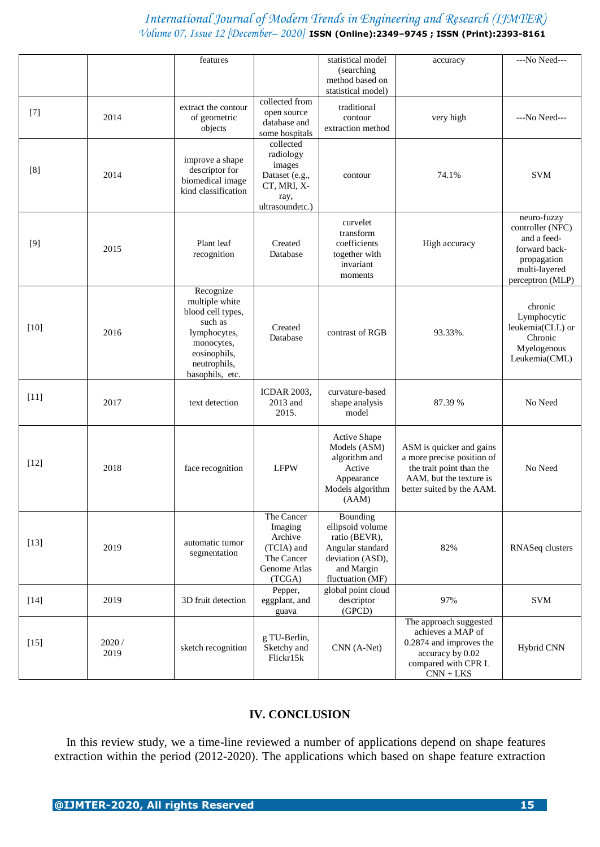|        |                | features                                                                                                                                     |                                                                                              | statistical model<br>(searching)<br>method based on<br>statistical model)                                               | accuracy                                                                                                                                   | ---No Need---                                                                                                       |
|--------|----------------|----------------------------------------------------------------------------------------------------------------------------------------------|----------------------------------------------------------------------------------------------|-------------------------------------------------------------------------------------------------------------------------|--------------------------------------------------------------------------------------------------------------------------------------------|---------------------------------------------------------------------------------------------------------------------|
| $[7]$  | 2014           | extract the contour<br>of geometric<br>objects                                                                                               | collected from<br>open source<br>database and<br>some hospitals                              | traditional<br>contour<br>extraction method                                                                             | very high                                                                                                                                  | ---No Need---                                                                                                       |
| [8]    | 2014           | improve a shape<br>descriptor for<br>biomedical image<br>kind classification                                                                 | collected<br>radiology<br>images<br>Dataset (e.g.,<br>CT, MRI, X-<br>ray,<br>ultrasoundetc.) | contour                                                                                                                 | 74.1%                                                                                                                                      | <b>SVM</b>                                                                                                          |
| $[9]$  | 2015           | Plant leaf<br>recognition                                                                                                                    | Created<br>Database                                                                          | curvelet<br>transform<br>coefficients<br>together with<br>invariant<br>moments                                          | High accuracy                                                                                                                              | neuro-fuzzy<br>controller (NFC)<br>and a feed-<br>forward back-<br>propagation<br>multi-layered<br>perceptron (MLP) |
| $[10]$ | 2016           | Recognize<br>multiple white<br>blood cell types,<br>such as<br>lymphocytes,<br>monocytes,<br>eosinophils,<br>neutrophils,<br>basophils, etc. | Created<br>Database                                                                          | contrast of RGB                                                                                                         | 93.33%.                                                                                                                                    | chronic<br>Lymphocytic<br>leukemia(CLL) or<br>Chronic<br>Myelogenous<br>Leukemia(CML)                               |
| $[11]$ | 2017           | text detection                                                                                                                               | <b>ICDAR 2003,</b><br>2013 and<br>2015.                                                      | curvature-based<br>shape analysis<br>model                                                                              | 87.39 %                                                                                                                                    | No Need                                                                                                             |
| $[12]$ | 2018           | face recognition                                                                                                                             | <b>LFPW</b>                                                                                  | <b>Active Shape</b><br>Models (ASM)<br>algorithm and<br>Active<br>Appearance<br>Models algorithm<br>(AAM)               | ASM is quicker and gains<br>a more precise position of<br>the trait point than the<br>AAM, but the texture is<br>better suited by the AAM. | No Need                                                                                                             |
| $[13]$ | 2019           | automatic tumor<br>segmentation                                                                                                              | The Cancer<br>Imaging<br>Archive<br>(TCIA) and<br>The Cancer<br>Genome Atlas<br>(TCGA)       | Bounding<br>ellipsoid volume<br>ratio (BEVR),<br>Angular standard<br>deviation (ASD),<br>and Margin<br>fluctuation (MF) | 82%                                                                                                                                        | RNASeq clusters                                                                                                     |
| $[14]$ | 2019           | 3D fruit detection                                                                                                                           | Pepper,<br>eggplant, and<br>guava                                                            | global point cloud<br>descriptor<br>(GPCD)                                                                              | 97%                                                                                                                                        | <b>SVM</b>                                                                                                          |
| $[15]$ | 2020 /<br>2019 | sketch recognition                                                                                                                           | g TU-Berlin,<br>Sketchy and<br>Flickr15k                                                     | CNN (A-Net)                                                                                                             | The approach suggested<br>achieves a MAP of<br>0.2874 and improves the<br>accuracy by 0.02<br>compared with CPR L<br>$CNN + LKS$           | Hybrid CNN                                                                                                          |

## **IV. CONCLUSION**

 In this review study, we a time-line reviewed a number of applications depend on shape features extraction within the period (2012-2020). The applications which based on shape feature extraction